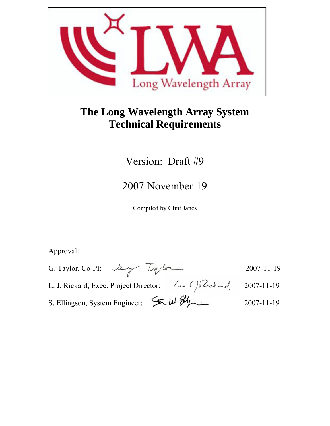

# **The Long Wavelength Array System Technical Requirements**

# Version: Draft #9

# 2007-November-19

Compiled by Clint Janes

Approval:

- G. Taylor, Co-PI: 2007-11-19 L. J. Rickard, Exec. Project Director: 2007-11-19
- 
- S. Ellingson, System Engineer:  $\sqrt{M}$   $\frac{W}{W}$   $\frac{W}{W}$  2007-11-19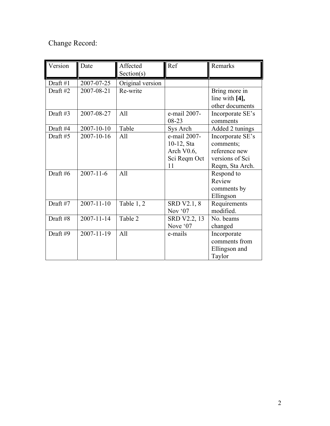## Change Record:

| Version  | Date             | Affected         | Ref                | Remarks          |
|----------|------------------|------------------|--------------------|------------------|
|          |                  | Section(s)       |                    |                  |
| Draft #1 | 2007-07-25       | Original version |                    |                  |
| Draft #2 | 2007-08-21       | Re-write         |                    | Bring more in    |
|          |                  |                  |                    | line with [4],   |
|          |                  |                  |                    | other documents  |
| Draft #3 | 2007-08-27       | All              | e-mail 2007-       | Incorporate SE's |
|          |                  |                  | 08-23              | comments         |
| Draft #4 | 2007-10-10       | Table            | Sys Arch           | Added 2 tunings  |
| Draft #5 | 2007-10-16       | All              | e-mail 2007-       | Incorporate SE's |
|          |                  |                  | 10-12, Sta         | comments;        |
|          |                  |                  | Arch V0.6,         | reference new    |
|          |                  |                  | Sci Reqm Oct       | versions of Sci  |
|          |                  |                  | 11                 | Reqm, Sta Arch.  |
| Draft #6 | $2007 - 11 - 6$  | All              |                    | Respond to       |
|          |                  |                  |                    | Review           |
|          |                  |                  |                    | comments by      |
|          |                  |                  |                    | Ellingson        |
| Draft #7 | $2007 - 11 - 10$ | Table 1, 2       | <b>SRD V2.1, 8</b> | Requirements     |
|          |                  |                  | Nov '07            | modified.        |
| Draft #8 | $2007 - 11 - 14$ | Table 2          | SRD V2.2, 13       | No. beams        |
|          |                  |                  | Nove '07           | changed          |
| Draft #9 | 2007-11-19       | All              | e-mails            | Incorporate      |
|          |                  |                  |                    | comments from    |
|          |                  |                  |                    | Ellingson and    |
|          |                  |                  |                    | Taylor           |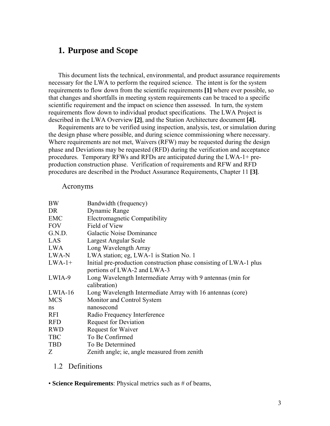#### **1. Purpose and Scope**

This document lists the technical, environmental, and product assurance requirements necessary for the LWA to perform the required science. The intent is for the system requirements to flow down from the scientific requirements **[1]** where ever possible, so that changes and shortfalls in meeting system requirements can be traced to a specific scientific requirement and the impact on science then assessed. In turn, the system requirements flow down to individual product specifications. The LWA Project is described in the LWA Overview **[2]**, and the Station Architecture document **[4].** 

Requirements are to be verified using inspection, analysis, test, or simulation during the design phase where possible, and during science commissioning where necessary. Where requirements are not met, Waivers (RFW) may be requested during the design phase and Deviations may be requested (RFD) during the verification and acceptance procedures. Temporary RFWs and RFDs are anticipated during the LWA-1+ preproduction construction phase. Verification of requirements and RFW and RFD procedures are described in the Product Assurance Requirements, Chapter 11 **[3]**.

#### Acronyms

| <b>BW</b>  | Bandwidth (frequency)                                              |
|------------|--------------------------------------------------------------------|
| DR         | Dynamic Range                                                      |
| <b>EMC</b> | Electromagnetic Compatibility                                      |
| <b>FOV</b> | Field of View                                                      |
| G.N.D.     | Galactic Noise Dominance                                           |
| LAS        | Largest Angular Scale                                              |
| <b>LWA</b> | Long Wavelength Array                                              |
| LWA-N      | LWA station; eg, LWA-1 is Station No. 1                            |
| $LWA-1+$   | Initial pre-production construction phase consisting of LWA-1 plus |
|            | portions of LWA-2 and LWA-3                                        |
| LWIA-9     | Long Wavelength Intermediate Array with 9 antennas (min for        |
|            | calibration)                                                       |
| $LWIA-16$  | Long Wavelength Intermediate Array with 16 antennas (core)         |
| <b>MCS</b> | Monitor and Control System                                         |
| ns         | nanosecond                                                         |
| <b>RFI</b> | Radio Frequency Interference                                       |
| <b>RFD</b> | <b>Request for Deviation</b>                                       |
| <b>RWD</b> | Request for Waiver                                                 |
| <b>TBC</b> | To Be Confirmed                                                    |
| <b>TBD</b> | To Be Determined                                                   |
| Ζ          | Zenith angle; ie, angle measured from zenith                       |

#### 1.2 Definitions

• **Science Requirements**: Physical metrics such as # of beams,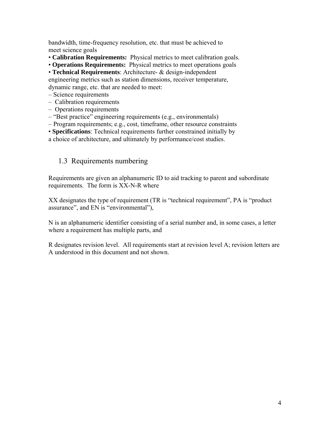bandwidth, time-frequency resolution, etc. that must be achieved to meet science goals

- **Calibration Requirements:** Physical metrics to meet calibration goals.
- **Operations Requirements:** Physical metrics to meet operations goals

• **Technical Requirements**: Architecture- & design-independent engineering metrics such as station dimensions, receiver temperature, dynamic range, etc. that are needed to meet:

- Science requirements
- Calibration requirements
- Operations requirements
- "Best practice" engineering requirements (e.g., environmentals)
- Program requirements; e.g., cost, timeframe, other resource constraints
- **Specifications**: Technical requirements further constrained initially by
- a choice of architecture, and ultimately by performance/cost studies.

#### 1.3 Requirements numbering

Requirements are given an alphanumeric ID to aid tracking to parent and subordinate requirements. The form is XX-N-R where

XX designates the type of requirement (TR is "technical requirement", PA is "product assurance", and EN is "environmental"),

N is an alphanumeric identifier consisting of a serial number and, in some cases, a letter where a requirement has multiple parts, and

R designates revision level. All requirements start at revision level A; revision letters are A understood in this document and not shown.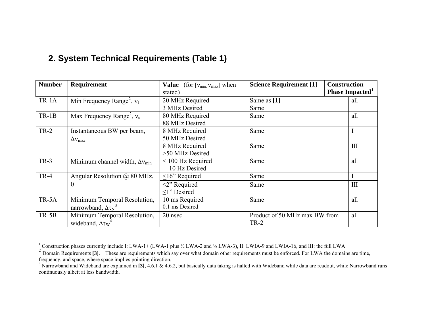### **2. System Technical Requirements (Table 1)**

| <b>Number</b> | Requirement                                    | <b>Value</b> (for $[v_{min}, v_{max}]$ when | <b>Science Requirement [1]</b> | <b>Construction</b> |                             |
|---------------|------------------------------------------------|---------------------------------------------|--------------------------------|---------------------|-----------------------------|
|               |                                                | stated)                                     |                                |                     | Phase Impacted <sup>1</sup> |
| $TR-1A$       | Min Frequency Range <sup>2</sup> , $v_1$       | 20 MHz Required                             | Same as [1]                    |                     | all                         |
|               |                                                | 3 MHz Desired                               | Same                           |                     |                             |
| $TR-1B$       | Max Frequency Range <sup>2</sup> , $v_u$       | 80 MHz Required                             | Same                           |                     | all                         |
|               |                                                | 88 MHz Desired                              |                                |                     |                             |
| $TR-2$        | Instantaneous BW per beam,                     | 8 MHz Required                              | Same                           |                     |                             |
|               | $\Delta v_{\rm max}$                           | 50 MHz Desired                              |                                |                     |                             |
|               |                                                | 8 MHz Required                              | Same                           |                     | III                         |
|               |                                                | >50 MHz Desired                             |                                |                     |                             |
| $TR-3$        | Minimum channel width, $\Delta v_{\text{min}}$ | $\leq$ 100 Hz Required                      | Same                           |                     | all                         |
|               |                                                | 10 Hz Desired                               |                                |                     |                             |
| $TR-4$        | Angular Resolution @ 80 MHz,                   | $\leq$ 16" Required                         | Same                           |                     |                             |
|               | $\theta$                                       | $\leq$ <sup>2</sup> Required                | Same                           |                     | III                         |
|               |                                                | $\leq$ 1" Desired                           |                                |                     |                             |
| TR-5A         | Minimum Temporal Resolution,                   | 10 ms Required                              | Same                           |                     | all                         |
|               | narrowband, $\Delta \tau_N^3$                  | 0.1 ms Desired                              |                                |                     |                             |
| $TR-5B$       | Minimum Temporal Resolution,                   | 20 nsec                                     | Product of 50 MHz max BW from  |                     | all                         |
|               | wideband, $\Delta \tau_{W}$                    |                                             | $TR-2$                         |                     |                             |

<span id="page-4-0"></span><sup>&</sup>lt;sup>1</sup> Construction phases currently include I: LWA-1+ (LWA-1 plus  $\frac{1}{2}$  LWA-2 and  $\frac{1}{2}$  LWA-3), II: LWIA-9 and LWIA-16, and III: the full LWA

<span id="page-4-1"></span><sup>&</sup>lt;sup>2</sup> Domain Requirements [3]. These are requirements which say over what domain other requirements must be enforced. For LWA the domains are time, frequency, and space, where space implies pointing direction.

<span id="page-4-2"></span><sup>&</sup>lt;sup>3</sup> Narrowband and Wideband are explained in [3], 4.6.1 & 4.6.2, but basically data taking is halted with Wideband while data are readout, while Narrowband runs continuously albeit at less bandwidth.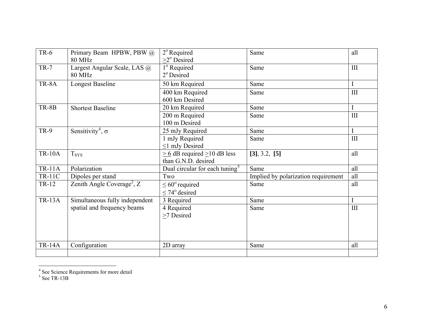| $TR-6$        | Primary Beam HPBW, PBW @               | $2^{\circ}$ Required                        | Same                                | all         |
|---------------|----------------------------------------|---------------------------------------------|-------------------------------------|-------------|
|               | <b>80 MHz</b>                          | $>2^{\circ}$ Desired                        |                                     |             |
| $TR-7$        | Largest Angular Scale, LAS @           | 1 <sup>°</sup> Required                     | Same                                | III         |
|               | <b>80 MHz</b>                          | $2^{\circ}$ Desired                         |                                     |             |
| TR-8A         | <b>Longest Baseline</b>                | 50 km Required                              | Same                                | $\mathbf I$ |
|               |                                        | 400 km Required                             | Same                                | III         |
|               |                                        | 600 km Desired                              |                                     |             |
| TR-8B         | <b>Shortest Baseline</b>               | 20 km Required                              | Same                                |             |
|               |                                        | 200 m Required                              | Same                                | III         |
|               |                                        | 100 m Desired                               |                                     |             |
| <b>TR-9</b>   | Sensitivity <sup>4</sup> , $\sigma$    | 25 mJy Required                             | Same                                |             |
|               |                                        | 1 mJy Required                              | Same                                | III         |
|               |                                        | $\leq$ 1 mJy Desired                        |                                     |             |
| <b>TR-10A</b> | <b>Tsys</b>                            | $\geq 6$ dB required $\geq 10$ dB less      | [3], 3.2, [5]                       | all         |
|               |                                        | than G.N.D. desired                         |                                     |             |
| <b>TR-11A</b> | Polarization                           | Dual circular for each tuning $\frac{1}{5}$ | Same                                | all         |
| <b>TR-11C</b> | Dipoles per stand                      | Two                                         | Implied by polarization requirement | all         |
| TR-12         | Zenith Angle Coverage <sup>2</sup> , Z | $\leq 60^{\circ}$ required                  | Same                                | all         |
|               |                                        | $\leq$ 74 <sup>o</sup> desired              |                                     |             |
| <b>TR-13A</b> | Simultaneous fully independent         | 3 Required                                  | Same                                |             |
|               | spatial and frequency beams            | 4 Required                                  | Same                                | III         |
|               |                                        | $\geq$ 7 Desired                            |                                     |             |
|               |                                        |                                             |                                     |             |
|               |                                        |                                             |                                     |             |
|               |                                        |                                             |                                     |             |
| <b>TR-14A</b> | Configuration                          | 2D array                                    | Same                                | all         |
|               |                                        |                                             |                                     |             |

<span id="page-5-0"></span><sup>&</sup>lt;sup>4</sup> See Science Requirements for more detail

<span id="page-5-1"></span> $<sup>5</sup>$  See TR-13B</sup>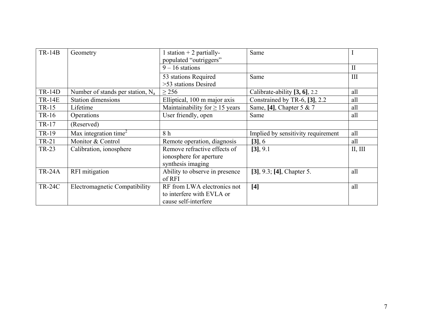| $TR-14B$      | Geometry                            | 1 station $+$ 2 partially-<br>populated "outriggers"                             | Same                               |              |
|---------------|-------------------------------------|----------------------------------------------------------------------------------|------------------------------------|--------------|
|               |                                     | $9 - 16$ stations                                                                |                                    | $\mathbf{I}$ |
|               |                                     | 53 stations Required<br>>53 stations Desired                                     | Same                               | III          |
| <b>TR-14D</b> | Number of stands per station, $N_a$ | $\geq$ 256                                                                       | Calibrate-ability [3, 6], 2.2      | all          |
| <b>TR-14E</b> | <b>Station dimensions</b>           | Elliptical, 100 m major axis                                                     | Constrained by TR-6, $[3]$ , 2.2   | all          |
| TR-15         | Lifetime                            | Maintainability for $\geq$ 15 years                                              | Same, [4], Chapter 5 & 7           | all          |
| TR-16         | Operations                          | User friendly, open                                                              | Same                               | all          |
| TR-17         | (Reserved)                          |                                                                                  |                                    |              |
| TR-19         | Max integration time <sup>2</sup>   | 8 h                                                                              | Implied by sensitivity requirement | all          |
| TR-21         | Monitor & Control                   | Remote operation, diagnosis                                                      | [3], 6                             | all          |
| TR-23         | Calibration, ionosphere             | Remove refractive effects of<br>ionosphere for aperture<br>synthesis imaging     | $[3]$ , 9.1                        | II, III      |
| <b>TR-24A</b> | RFI mitigation                      | Ability to observe in presence<br>of RFI                                         | $[3]$ , 9.3; [4], Chapter 5.       | all          |
| <b>TR-24C</b> | Electromagnetic Compatibility       | RF from LWA electronics not<br>to interfere with EVLA or<br>cause self-interfere | [4]                                | all          |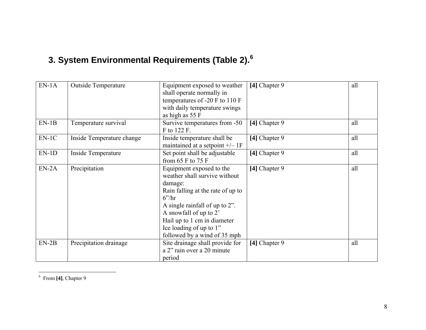# **3. System Environmental Requirements (Table 2).[6](#page-7-0)**

| $EN-1A$ | <b>Outside Temperature</b> | Equipment exposed to weather<br>shall operate normally in<br>temperatures of -20 F to 110 F<br>with daily temperature swings<br>as high as 55 F                                                                                                                                          | [4] Chapter 9 | all |
|---------|----------------------------|------------------------------------------------------------------------------------------------------------------------------------------------------------------------------------------------------------------------------------------------------------------------------------------|---------------|-----|
| $EN-1B$ | Temperature survival       | Survive temperatures from -50<br>F to 122 F.                                                                                                                                                                                                                                             | [4] Chapter 9 | all |
| $EN-1C$ | Inside Temperature change  | Inside temperature shall be<br>maintained at a setpoint $+/- 1F$                                                                                                                                                                                                                         | [4] Chapter 9 | all |
| $EN-1D$ | Inside Temperature         | Set point shall be adjustable<br>from 65 $F$ to 75 $F$                                                                                                                                                                                                                                   | [4] Chapter 9 | all |
| $EN-2A$ | Precipitation              | Equipment exposed to the<br>weather shall survive without<br>damage:<br>Rain falling at the rate of up to<br>$6^{\prime\prime}$ hr<br>A single rainfall of up to 2".<br>A snowfall of up to 2'<br>Hail up to 1 cm in diameter<br>Ice loading of up to 1"<br>followed by a wind of 35 mph | [4] Chapter 9 | all |
| $EN-2B$ | Precipitation drainage     | Site drainage shall provide for<br>a 2" rain over a 20 minute<br>period                                                                                                                                                                                                                  | [4] Chapter 9 | all |

<span id="page-7-0"></span>6 From **[4]**, Chapter 9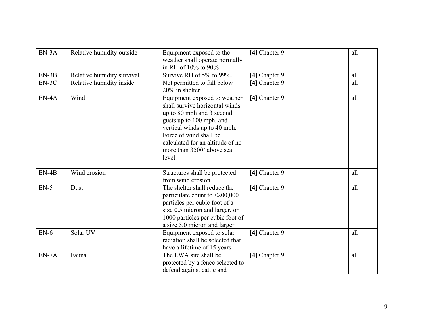| $EN-3A$ | Relative humidity outside  | Equipment exposed to the<br>weather shall operate normally<br>in RH of 10% to 90%                                                                                                                                                                            | [4] Chapter 9 | all |
|---------|----------------------------|--------------------------------------------------------------------------------------------------------------------------------------------------------------------------------------------------------------------------------------------------------------|---------------|-----|
| $EN-3B$ | Relative humidity survival | Survive RH of 5% to 99%.                                                                                                                                                                                                                                     | [4] Chapter 9 | all |
| $EN-3C$ | Relative humidity inside   | Not permitted to fall below<br>20% in shelter                                                                                                                                                                                                                | [4] Chapter 9 | all |
| $EN-4A$ | Wind                       | Equipment exposed to weather<br>shall survive horizontal winds<br>up to 80 mph and 3 second<br>gusts up to 100 mph, and<br>vertical winds up to 40 mph.<br>Force of wind shall be<br>calculated for an altitude of no<br>more than 3500' above sea<br>level. | [4] Chapter 9 | all |
| $EN-4B$ | Wind erosion               | Structures shall be protected<br>from wind erosion.                                                                                                                                                                                                          | [4] Chapter 9 | all |
| $EN-5$  | Dust                       | The shelter shall reduce the<br>particulate count to <200,000<br>particles per cubic foot of a<br>size 0.5 micron and larger, or<br>1000 particles per cubic foot of<br>a size 5.0 micron and larger.                                                        | [4] Chapter 9 | all |
| $EN-6$  | Solar UV                   | Equipment exposed to solar<br>radiation shall be selected that<br>have a lifetime of 15 years.                                                                                                                                                               | [4] Chapter 9 | all |
| $EN-7A$ | Fauna                      | The LWA site shall be<br>protected by a fence selected to<br>defend against cattle and                                                                                                                                                                       | [4] Chapter 9 | all |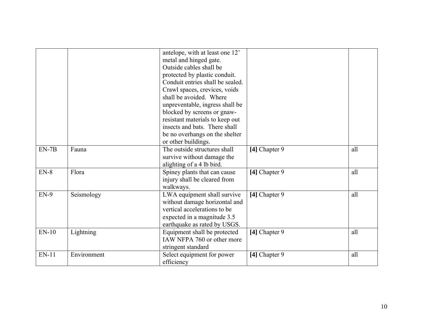|         |             | antelope, with at least one 12'<br>metal and hinged gate.<br>Outside cables shall be<br>protected by plastic conduit.<br>Conduit entries shall be sealed.<br>Crawl spaces, crevices, voids<br>shall be avoided. Where<br>unpreventable, ingress shall be<br>blocked by screens or gnaw-<br>resistant materials to keep out<br>insects and bats. There shall<br>be no overhangs on the shelter<br>or other buildings. |               |     |
|---------|-------------|----------------------------------------------------------------------------------------------------------------------------------------------------------------------------------------------------------------------------------------------------------------------------------------------------------------------------------------------------------------------------------------------------------------------|---------------|-----|
| $EN-7B$ | Fauna       | The outside structures shall<br>survive without damage the<br>alighting of a 4 lb bird.                                                                                                                                                                                                                                                                                                                              | [4] Chapter 9 | all |
| $EN-8$  | Flora       | Spiney plants that can cause<br>injury shall be cleared from<br>walkways.                                                                                                                                                                                                                                                                                                                                            | [4] Chapter 9 | all |
| $EN-9$  | Seismology  | LWA equipment shall survive<br>without damage horizontal and<br>vertical accelerations to be<br>expected in a magnitude 3.5<br>earthquake as rated by USGS.                                                                                                                                                                                                                                                          | [4] Chapter 9 | all |
| $EN-10$ | Lightning   | Equipment shall be protected<br>IAW NFPA 760 or other more<br>stringent standard                                                                                                                                                                                                                                                                                                                                     | [4] Chapter 9 | all |
| $EN-11$ | Environment | Select equipment for power<br>efficiency                                                                                                                                                                                                                                                                                                                                                                             | [4] Chapter 9 | all |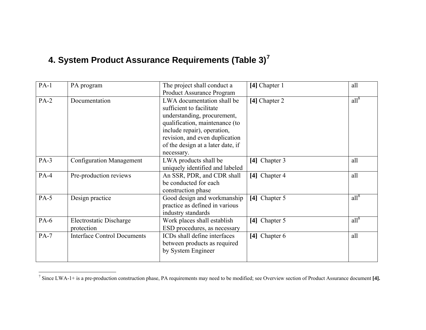## **4. System Product Assurance Requirements (Table 3)[7](#page-10-0)**

| $PA-1$ | PA program                         | The project shall conduct a                            | [4] Chapter 1 | all     |
|--------|------------------------------------|--------------------------------------------------------|---------------|---------|
|        |                                    | <b>Product Assurance Program</b>                       |               |         |
| $PA-2$ | Documentation                      | LWA documentation shall be<br>sufficient to facilitate | [4] Chapter 2 | $all^8$ |
|        |                                    | understanding, procurement,                            |               |         |
|        |                                    | qualification, maintenance (to                         |               |         |
|        |                                    | include repair), operation,                            |               |         |
|        |                                    | revision, and even duplication                         |               |         |
|        |                                    | of the design at a later date, if                      |               |         |
|        |                                    | necessary.                                             |               |         |
| $PA-3$ | <b>Configuration Management</b>    | LWA products shall be                                  | [4] Chapter 3 | all     |
|        |                                    | uniquely identified and labeled                        |               |         |
| $PA-4$ | Pre-production reviews             | An SSR, PDR, and CDR shall                             | [4] Chapter 4 | all     |
|        |                                    | be conducted for each                                  |               |         |
|        |                                    | construction phase                                     |               |         |
| $PA-5$ | Design practice                    | Good design and workmanship                            | [4] Chapter 5 | $all^8$ |
|        |                                    | practice as defined in various                         |               |         |
|        |                                    | industry standards                                     |               |         |
| PA-6   | <b>Electrostatic Discharge</b>     | Work places shall establish                            | [4] Chapter 5 | $all^8$ |
|        | protection                         | ESD procedures, as necessary                           |               |         |
| $PA-7$ | <b>Interface Control Documents</b> | ICDs shall define interfaces                           | [4] Chapter 6 | all     |
|        |                                    | between products as required                           |               |         |
|        |                                    | by System Engineer                                     |               |         |
|        |                                    |                                                        |               |         |

<span id="page-10-0"></span><sup>&</sup>lt;sup>7</sup> Since LWA-1+ is a pre-production construction phase, PA requirements may need to be modified; see Overview section of Product Assurance document [4].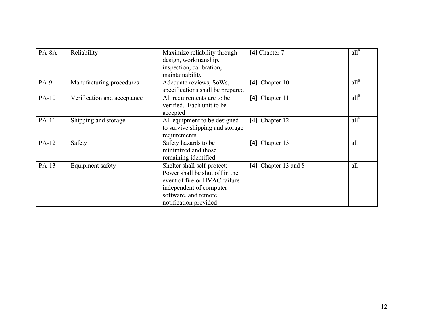| PA-8A  | Reliability                 | Maximize reliability through<br>design, workmanship,<br>inspection, calibration,<br>maintainability                                                                        | [4] Chapter 7        | $all^8$ |
|--------|-----------------------------|----------------------------------------------------------------------------------------------------------------------------------------------------------------------------|----------------------|---------|
| $PA-9$ | Manufacturing procedures    | Adequate reviews, SoWs,<br>specifications shall be prepared                                                                                                                | [4] Chapter 10       | $all^8$ |
| PA-10  | Verification and acceptance | All requirements are to be<br>verified. Each unit to be<br>accepted                                                                                                        | [4] Chapter 11       | $all^8$ |
| PA-11  | Shipping and storage        | All equipment to be designed<br>to survive shipping and storage<br>requirements                                                                                            | [4] Chapter 12       | $all^8$ |
| PA-12  | Safety                      | Safety hazards to be<br>minimized and those<br>remaining identified                                                                                                        | [4] Chapter 13       | all     |
| PA-13  | Equipment safety            | Shelter shall self-protect:<br>Power shall be shut off in the<br>event of fire or HVAC failure<br>independent of computer<br>software, and remote<br>notification provided | [4] Chapter 13 and 8 | all     |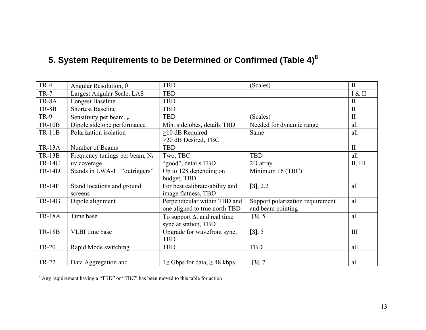## **5. System Requirements to be Determined or Confirmed (Table 4)[8](#page-12-0)**

| $TR-4$        | Angular Resolution, $\theta$               | <b>TBD</b>                                | (Scales)                         | $\mathbf{I}$ |
|---------------|--------------------------------------------|-------------------------------------------|----------------------------------|--------------|
| $TR-7$        | Largest Angular Scale, LAS                 | <b>TBD</b>                                |                                  | I & II       |
| TR-8A         | <b>Longest Baseline</b>                    | <b>TBD</b>                                |                                  | $\mathbf{I}$ |
| TR-8B         | <b>Shortest Baseline</b>                   | <b>TBD</b>                                |                                  | $\mathbf{I}$ |
| <b>TR-9</b>   | Sensitivity per beam, $\sigma$             | <b>TBD</b>                                | (Scales)                         | $\mathbf{I}$ |
| <b>TR-10B</b> | Dipole sidelobe performance                | Min. sidelobes, details TBD               | Needed for dynamic range         | all          |
| <b>TR-11B</b> | Polarization isolation                     | $>10$ dB Required                         | Same                             | all          |
|               |                                            | >20 dB Desired, TBC                       |                                  |              |
| <b>TR-13A</b> | Number of Beams                            | <b>TBD</b>                                |                                  | $\mathbf{I}$ |
| <b>TR-13B</b> | Frequency tunings per beam, N <sub>t</sub> | Two, TBC                                  | <b>TBD</b>                       | all          |
| <b>TR-14C</b> | uv coverage                                | "good", details TBD                       | 2D array                         | II, III      |
| <b>TR-14D</b> | Stands in LWA-1+ "outriggers"              | Up to 128 depending on                    | Minimum 16 (TBC)                 |              |
|               |                                            | budget, TBD                               |                                  |              |
| <b>TR-14F</b> | Stand locations and ground                 | For best calibrate-ability and            | [3], 2.2                         | all          |
|               | screens                                    | image flatness, TBD                       |                                  |              |
| <b>TR-14G</b> | Dipole alignment                           | Perpendicular within TBD and              | Support polarization requirement | all          |
|               |                                            | one aligned to true north TBD             | and beam pointing                |              |
| <b>TR-18A</b> | Time base                                  | To support $\Delta t$ and real time       | [3], 5                           | all          |
|               |                                            | sync at station, TBD                      |                                  |              |
| <b>TR-18B</b> | VLBI time base                             | Upgrade for wavefront sync,               | [3], 5                           | III          |
|               |                                            | <b>TBD</b>                                |                                  |              |
| <b>TR-20</b>  | Rapid Mode switching                       | <b>TBD</b>                                | <b>TBD</b>                       | all          |
|               |                                            |                                           |                                  |              |
| <b>TR-22</b>  | Data Aggregation and                       | 1\ge 1\ge 5 Gbps for data, $\geq$ 48 kbps | [3], 7                           | all          |

<span id="page-12-0"></span>8 Any requirement having a "TBD" or "TBC" has been moved to this table for action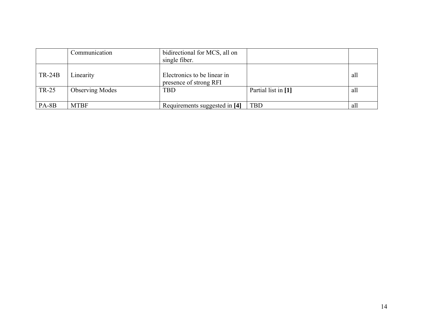|              | Communication          | bidirectional for MCS, all on<br>single fiber.        |                     |     |
|--------------|------------------------|-------------------------------------------------------|---------------------|-----|
| $TR-24B$     | Linearity              | Electronics to be linear in<br>presence of strong RFI |                     | all |
| <b>TR-25</b> | <b>Observing Modes</b> | <b>TBD</b>                                            | Partial list in [1] | all |
| PA-8B        | <b>MTBF</b>            | Requirements suggested in [4]                         | <b>TBD</b>          | all |